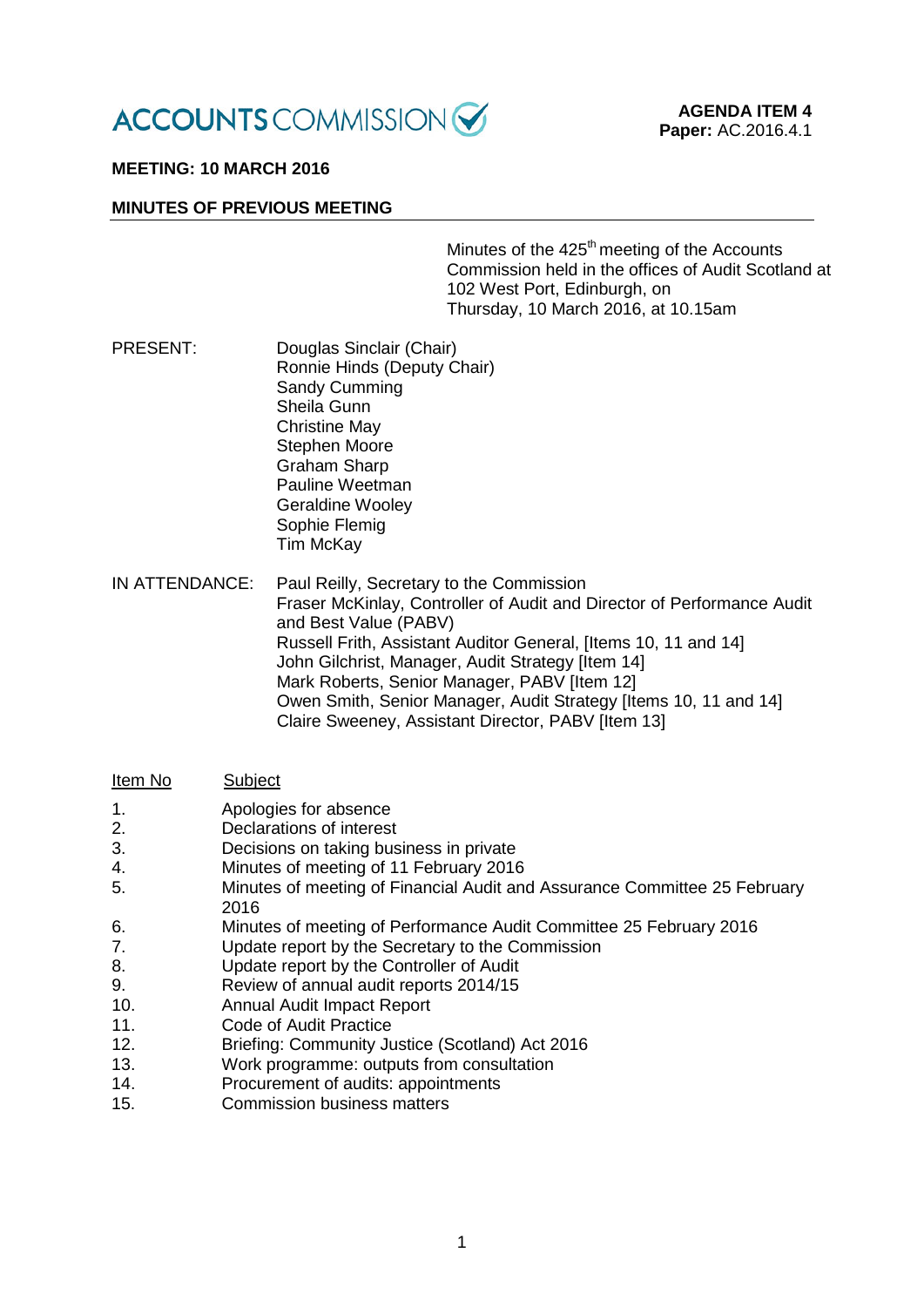

# **MEETING: 10 MARCH 2016**

### **MINUTES OF PREVIOUS MEETING**

Minutes of the  $425<sup>th</sup>$  meeting of the Accounts Commission held in the offices of Audit Scotland at 102 West Port, Edinburgh, on Thursday, 10 March 2016, at 10.15am

PRESENT: Douglas Sinclair (Chair) Ronnie Hinds (Deputy Chair) Sandy Cumming Sheila Gunn Christine May Stephen Moore Graham Sharp Pauline Weetman Geraldine Wooley Sophie Flemig Tim McKay

IN ATTENDANCE: Paul Reilly, Secretary to the Commission Fraser McKinlay, Controller of Audit and Director of Performance Audit and Best Value (PABV) Russell Frith, Assistant Auditor General, [Items 10, 11 and 14] John Gilchrist, Manager, Audit Strategy [Item 14] Mark Roberts, Senior Manager, PABV [Item 12] Owen Smith, Senior Manager, Audit Strategy [Items 10, 11 and 14] Claire Sweeney, Assistant Director, PABV [Item 13]

#### Item No Subject

- 1. Apologies for absence
- 2. Declarations of interest
- 3. Decisions on taking business in private
- 4. Minutes of meeting of 11 February 2016
- 5. Minutes of meeting of Financial Audit and Assurance Committee 25 February 2016
- 6. Minutes of meeting of Performance Audit Committee 25 February 2016<br>7 approach that the Secretary to the Commission
- Update report by the Secretary to the Commission
- 8. Update report by the Controller of Audit
- 9. Review of annual audit reports 2014/15
- 10. Annual Audit Impact Report
- 11. Code of Audit Practice
- 12. Briefing: Community Justice (Scotland) Act 2016
- 13. Work programme: outputs from consultation
- 14. Procurement of audits: appointments
- 15. Commission business matters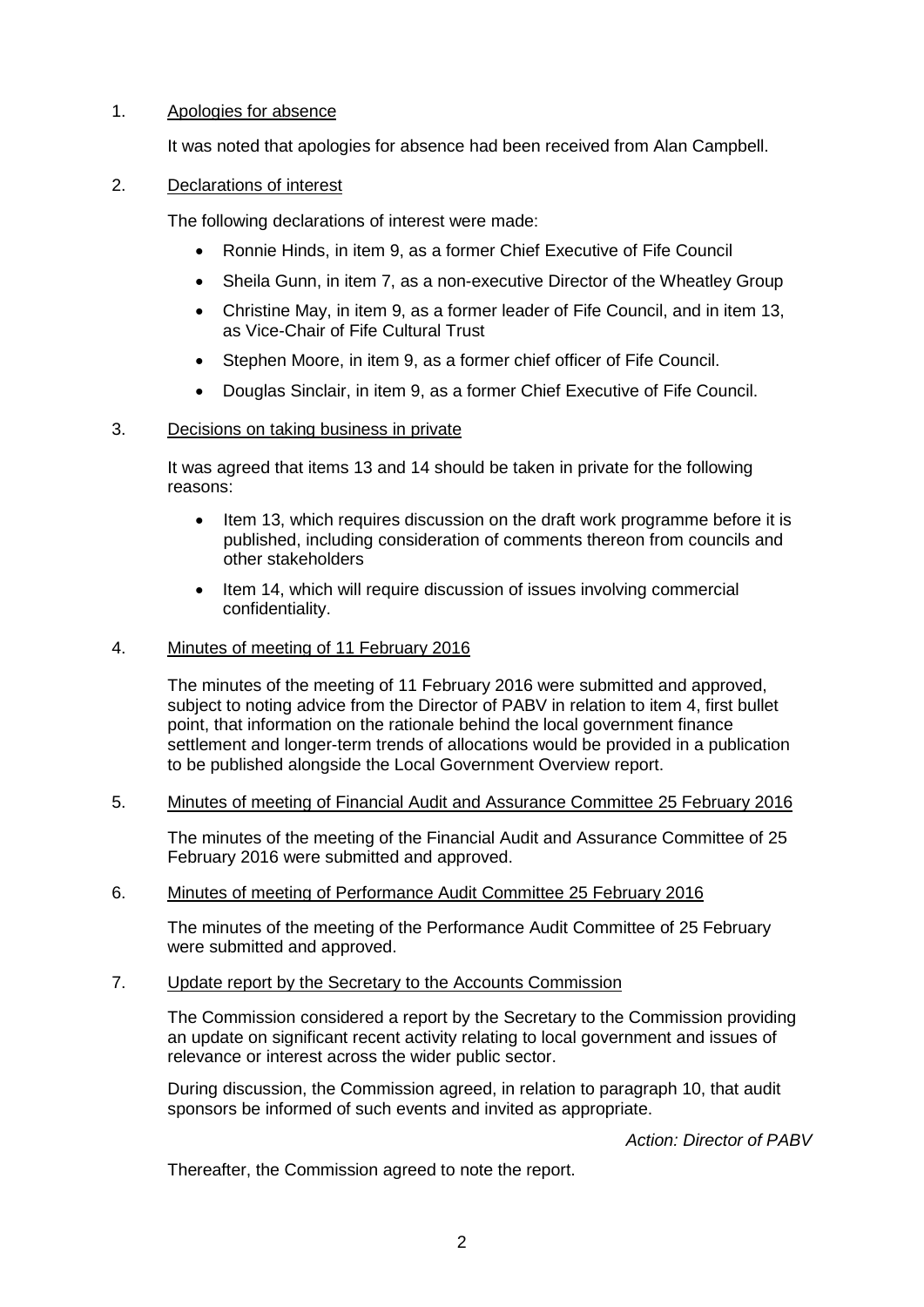# 1. Apologies for absence

It was noted that apologies for absence had been received from Alan Campbell.

# 2. Declarations of interest

The following declarations of interest were made:

- Ronnie Hinds, in item 9, as a former Chief Executive of Fife Council
- Sheila Gunn, in item 7, as a non-executive Director of the Wheatley Group
- Christine May, in item 9, as a former leader of Fife Council, and in item 13, as Vice-Chair of Fife Cultural Trust
- Stephen Moore, in item 9, as a former chief officer of Fife Council.
- Douglas Sinclair, in item 9, as a former Chief Executive of Fife Council.

## 3. Decisions on taking business in private

It was agreed that items 13 and 14 should be taken in private for the following reasons:

- Item 13, which requires discussion on the draft work programme before it is published, including consideration of comments thereon from councils and other stakeholders
- Item 14, which will require discussion of issues involving commercial confidentiality.

### 4. Minutes of meeting of 11 February 2016

The minutes of the meeting of 11 February 2016 were submitted and approved, subject to noting advice from the Director of PABV in relation to item 4, first bullet point, that information on the rationale behind the local government finance settlement and longer-term trends of allocations would be provided in a publication to be published alongside the Local Government Overview report.

## 5. Minutes of meeting of Financial Audit and Assurance Committee 25 February 2016

The minutes of the meeting of the Financial Audit and Assurance Committee of 25 February 2016 were submitted and approved.

## 6. Minutes of meeting of Performance Audit Committee 25 February 2016

The minutes of the meeting of the Performance Audit Committee of 25 February were submitted and approved.

## 7. Update report by the Secretary to the Accounts Commission

The Commission considered a report by the Secretary to the Commission providing an update on significant recent activity relating to local government and issues of relevance or interest across the wider public sector.

During discussion, the Commission agreed, in relation to paragraph 10, that audit sponsors be informed of such events and invited as appropriate.

*Action: Director of PABV*

Thereafter, the Commission agreed to note the report.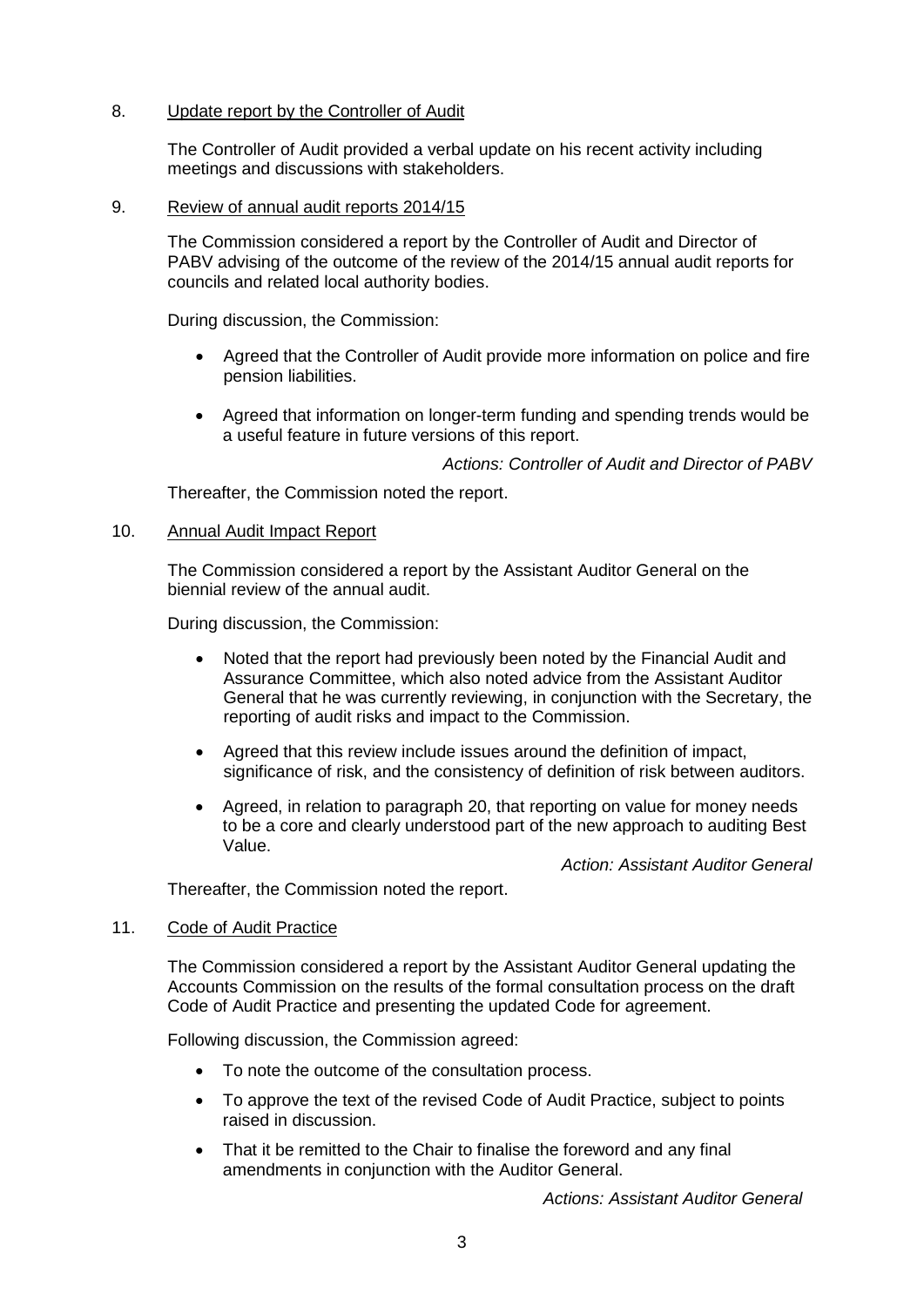### 8. Update report by the Controller of Audit

The Controller of Audit provided a verbal update on his recent activity including meetings and discussions with stakeholders.

#### 9. Review of annual audit reports 2014/15

The Commission considered a report by the Controller of Audit and Director of PABV advising of the outcome of the review of the 2014/15 annual audit reports for councils and related local authority bodies.

During discussion, the Commission:

- Agreed that the Controller of Audit provide more information on police and fire pension liabilities.
- Agreed that information on longer-term funding and spending trends would be a useful feature in future versions of this report.

*Actions: Controller of Audit and Director of PABV*

Thereafter, the Commission noted the report.

#### 10. Annual Audit Impact Report

The Commission considered a report by the Assistant Auditor General on the biennial review of the annual audit.

During discussion, the Commission:

- Noted that the report had previously been noted by the Financial Audit and Assurance Committee, which also noted advice from the Assistant Auditor General that he was currently reviewing, in conjunction with the Secretary, the reporting of audit risks and impact to the Commission.
- Agreed that this review include issues around the definition of impact, significance of risk, and the consistency of definition of risk between auditors.
- Agreed, in relation to paragraph 20, that reporting on value for money needs to be a core and clearly understood part of the new approach to auditing Best Value.

*Action: Assistant Auditor General*

Thereafter, the Commission noted the report.

#### 11. Code of Audit Practice

The Commission considered a report by the Assistant Auditor General updating the Accounts Commission on the results of the formal consultation process on the draft Code of Audit Practice and presenting the updated Code for agreement.

Following discussion, the Commission agreed:

- To note the outcome of the consultation process.
- To approve the text of the revised Code of Audit Practice, subject to points raised in discussion.
- That it be remitted to the Chair to finalise the foreword and any final amendments in conjunction with the Auditor General.

*Actions: Assistant Auditor General*